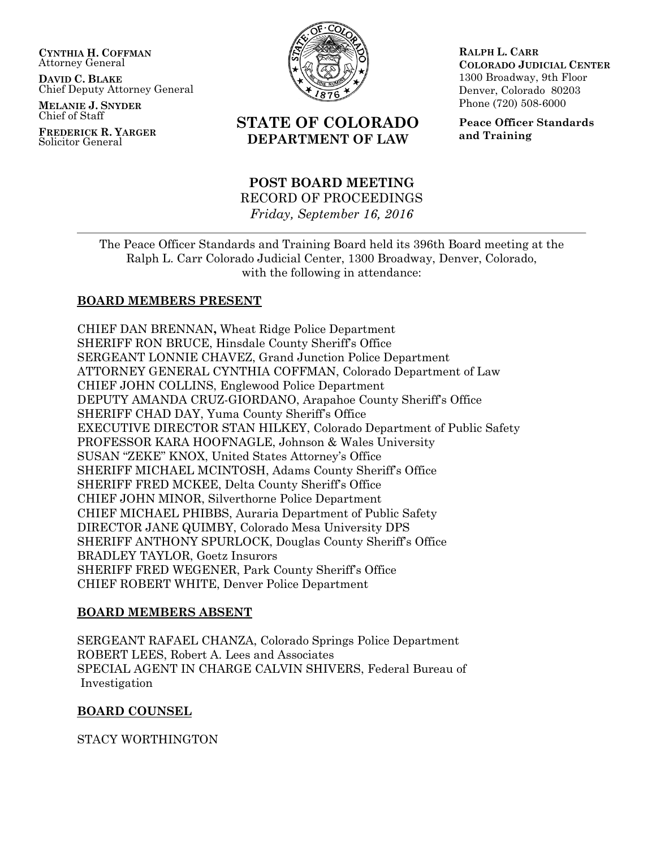**CYNTHIA H. COFFMAN** Attorney General

**DAVID C. BLAKE** Chief Deputy Attorney General

**MELANIE J. SNYDER** Chief of Staff

**FREDERICK R. YARGER** Solicitor General



# **STATE OF COLORADO DEPARTMENT OF LAW**

**POST BOARD MEETING** RECORD OF PROCEEDINGS *Friday, September 16, 2016*

**RALPH L. CARR COLORADO JUDICIAL CENTER** 1300 Broadway, 9th Floor Denver, Colorado 80203 Phone (720) 508-6000

**Peace Officer Standards and Training**

The Peace Officer Standards and Training Board held its 396th Board meeting at the Ralph L. Carr Colorado Judicial Center, 1300 Broadway, Denver, Colorado, with the following in attendance:

## **BOARD MEMBERS PRESENT**

CHIEF DAN BRENNAN**,** Wheat Ridge Police Department SHERIFF RON BRUCE, Hinsdale County Sheriff's Office SERGEANT LONNIE CHAVEZ, Grand Junction Police Department ATTORNEY GENERAL CYNTHIA COFFMAN, Colorado Department of Law CHIEF JOHN COLLINS, Englewood Police Department DEPUTY AMANDA CRUZ-GIORDANO, Arapahoe County Sheriff's Office SHERIFF CHAD DAY, Yuma County Sheriff's Office EXECUTIVE DIRECTOR STAN HILKEY, Colorado Department of Public Safety PROFESSOR KARA HOOFNAGLE, Johnson & Wales University SUSAN "ZEKE" KNOX, United States Attorney's Office SHERIFF MICHAEL MCINTOSH, Adams County Sheriff's Office SHERIFF FRED MCKEE, Delta County Sheriff's Office CHIEF JOHN MINOR, Silverthorne Police Department CHIEF MICHAEL PHIBBS, Auraria Department of Public Safety DIRECTOR JANE QUIMBY, Colorado Mesa University DPS SHERIFF ANTHONY SPURLOCK, Douglas County Sheriff's Office BRADLEY TAYLOR, Goetz Insurors SHERIFF FRED WEGENER, Park County Sheriff's Office CHIEF ROBERT WHITE, Denver Police Department

## **BOARD MEMBERS ABSENT**

SERGEANT RAFAEL CHANZA, Colorado Springs Police Department ROBERT LEES, Robert A. Lees and Associates SPECIAL AGENT IN CHARGE CALVIN SHIVERS, Federal Bureau of Investigation

## **BOARD COUNSEL**

STACY WORTHINGTON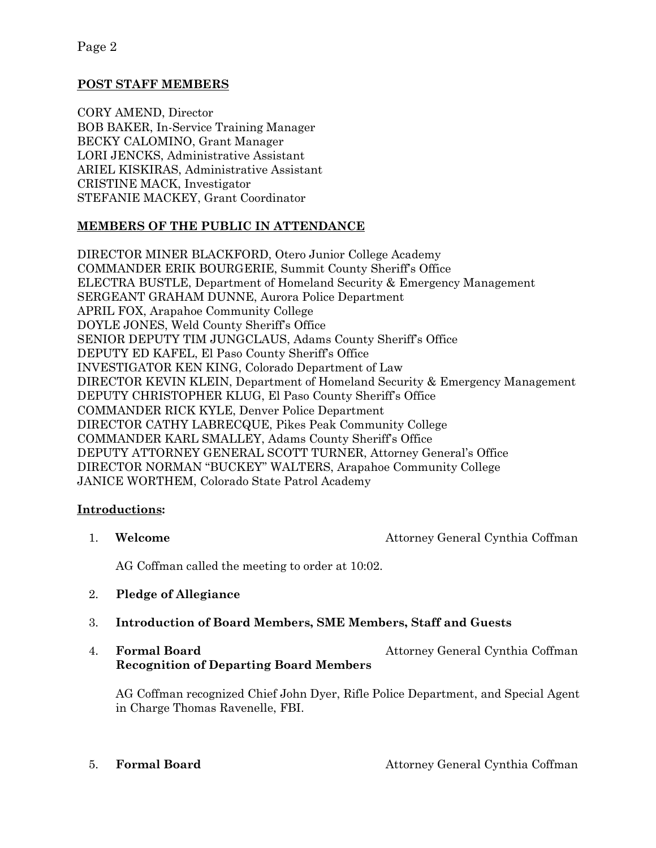Page 2

## **POST STAFF MEMBERS**

CORY AMEND, Director BOB BAKER, In-Service Training Manager BECKY CALOMINO, Grant Manager LORI JENCKS, Administrative Assistant ARIEL KISKIRAS, Administrative Assistant CRISTINE MACK, Investigator STEFANIE MACKEY, Grant Coordinator

## **MEMBERS OF THE PUBLIC IN ATTENDANCE**

DIRECTOR MINER BLACKFORD, Otero Junior College Academy COMMANDER ERIK BOURGERIE, Summit County Sheriff's Office ELECTRA BUSTLE, Department of Homeland Security & Emergency Management SERGEANT GRAHAM DUNNE, Aurora Police Department APRIL FOX, Arapahoe Community College DOYLE JONES, Weld County Sheriff's Office SENIOR DEPUTY TIM JUNGCLAUS, Adams County Sheriff's Office DEPUTY ED KAFEL, El Paso County Sheriff's Office INVESTIGATOR KEN KING, Colorado Department of Law DIRECTOR KEVIN KLEIN, Department of Homeland Security & Emergency Management DEPUTY CHRISTOPHER KLUG, El Paso County Sheriff's Office COMMANDER RICK KYLE, Denver Police Department DIRECTOR CATHY LABRECQUE, Pikes Peak Community College COMMANDER KARL SMALLEY, Adams County Sheriff's Office DEPUTY ATTORNEY GENERAL SCOTT TURNER, Attorney General's Office DIRECTOR NORMAN "BUCKEY" WALTERS, Arapahoe Community College JANICE WORTHEM, Colorado State Patrol Academy

## **Introductions:**

1. **Welcome Attorney General Cynthia Coffman** 

AG Coffman called the meeting to order at 10:02.

- 2. **Pledge of Allegiance**
- 3. **Introduction of Board Members, SME Members, Staff and Guests**
- 4. **Formal Board** Attorney General Cynthia Coffman **Recognition of Departing Board Members**

AG Coffman recognized Chief John Dyer, Rifle Police Department, and Special Agent in Charge Thomas Ravenelle, FBI.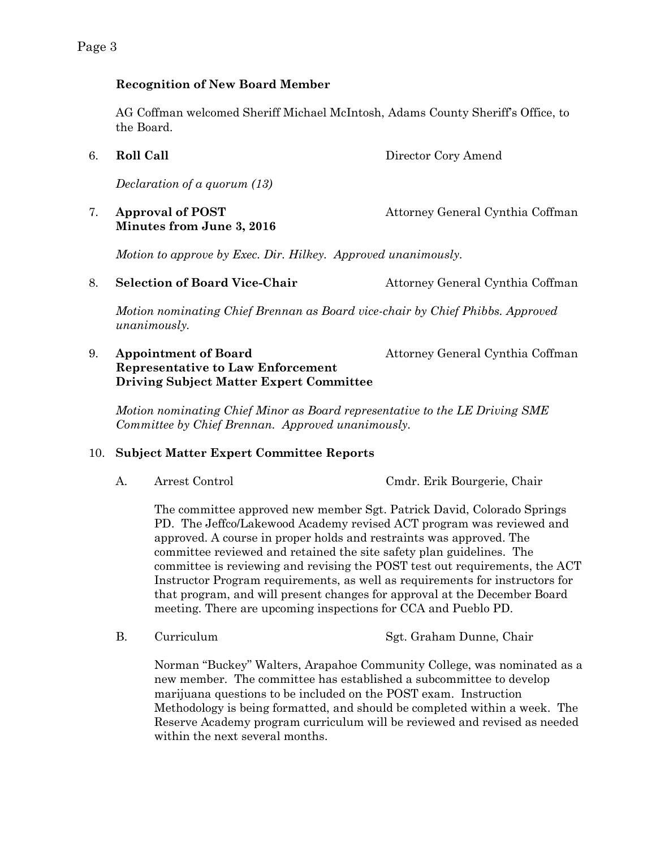## **Recognition of New Board Member**

AG Coffman welcomed Sheriff Michael McIntosh, Adams County Sheriff's Office, to the Board.

6. **Roll Call** Director Cory Amend

*Declaration of a quorum (13)*

## 7. **Approval of POST** Attorney General Cynthia Coffman **Minutes from June 3, 2016**

*Motion to approve by Exec. Dir. Hilkey. Approved unanimously.*

8. **Selection of Board Vice-Chair** Attorney General Cynthia Coffman

*Motion nominating Chief Brennan as Board vice-chair by Chief Phibbs. Approved unanimously.*

## 9. **Appointment of Board Attorney General Cynthia Coffman Representative to Law Enforcement Driving Subject Matter Expert Committee**

*Motion nominating Chief Minor as Board representative to the LE Driving SME Committee by Chief Brennan. Approved unanimously.*

## 10. **Subject Matter Expert Committee Reports**

A. Arrest Control Cmdr. Erik Bourgerie, Chair

The committee approved new member Sgt. Patrick David, Colorado Springs PD. The Jeffco/Lakewood Academy revised ACT program was reviewed and approved. A course in proper holds and restraints was approved. The committee reviewed and retained the site safety plan guidelines. The committee is reviewing and revising the POST test out requirements, the ACT Instructor Program requirements, as well as requirements for instructors for that program, and will present changes for approval at the December Board meeting. There are upcoming inspections for CCA and Pueblo PD.

- 
- B. Curriculum Sgt. Graham Dunne, Chair

Norman "Buckey" Walters, Arapahoe Community College, was nominated as a new member. The committee has established a subcommittee to develop marijuana questions to be included on the POST exam. Instruction Methodology is being formatted, and should be completed within a week. The Reserve Academy program curriculum will be reviewed and revised as needed within the next several months.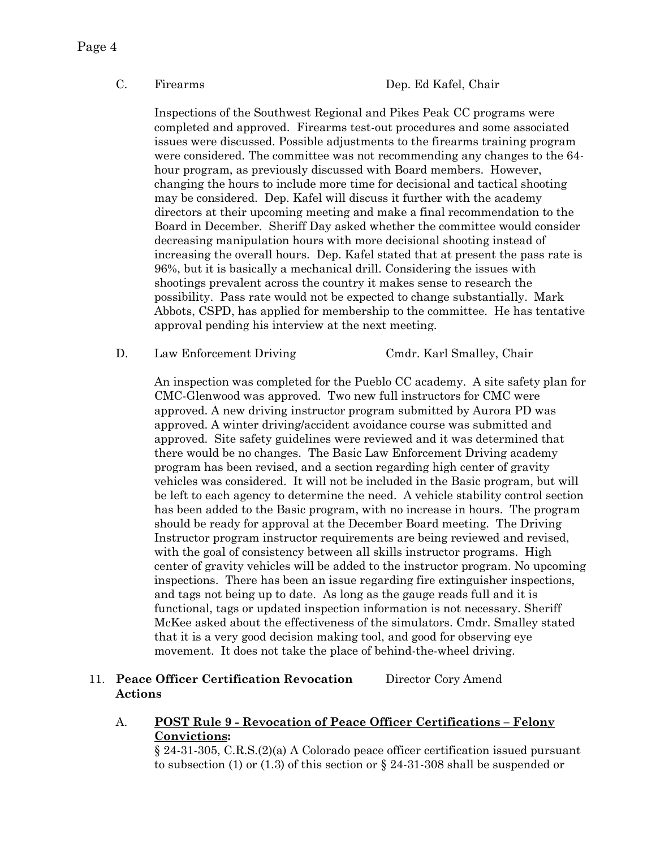Page 4

Inspections of the Southwest Regional and Pikes Peak CC programs were completed and approved. Firearms test-out procedures and some associated issues were discussed. Possible adjustments to the firearms training program were considered. The committee was not recommending any changes to the 64 hour program, as previously discussed with Board members. However, changing the hours to include more time for decisional and tactical shooting may be considered. Dep. Kafel will discuss it further with the academy directors at their upcoming meeting and make a final recommendation to the Board in December. Sheriff Day asked whether the committee would consider decreasing manipulation hours with more decisional shooting instead of increasing the overall hours. Dep. Kafel stated that at present the pass rate is 96%, but it is basically a mechanical drill. Considering the issues with shootings prevalent across the country it makes sense to research the possibility. Pass rate would not be expected to change substantially. Mark Abbots, CSPD, has applied for membership to the committee. He has tentative approval pending his interview at the next meeting.

### D. Law Enforcement Driving Cmdr. Karl Smalley, Chair

An inspection was completed for the Pueblo CC academy. A site safety plan for CMC-Glenwood was approved. Two new full instructors for CMC were approved. A new driving instructor program submitted by Aurora PD was approved. A winter driving/accident avoidance course was submitted and approved. Site safety guidelines were reviewed and it was determined that there would be no changes. The Basic Law Enforcement Driving academy program has been revised, and a section regarding high center of gravity vehicles was considered. It will not be included in the Basic program, but will be left to each agency to determine the need. A vehicle stability control section has been added to the Basic program, with no increase in hours. The program should be ready for approval at the December Board meeting. The Driving Instructor program instructor requirements are being reviewed and revised, with the goal of consistency between all skills instructor programs. High center of gravity vehicles will be added to the instructor program. No upcoming inspections. There has been an issue regarding fire extinguisher inspections, and tags not being up to date. As long as the gauge reads full and it is functional, tags or updated inspection information is not necessary. Sheriff McKee asked about the effectiveness of the simulators. Cmdr. Smalley stated that it is a very good decision making tool, and good for observing eye movement. It does not take the place of behind-the-wheel driving.

## 11. **Peace Officer Certification Revocation** Director Cory Amend **Actions**

A. **POST Rule 9 - Revocation of Peace Officer Certifications – Felony Convictions:** 

§ 24-31-305, C.R.S.(2)(a) A Colorado peace officer certification issued pursuant to subsection (1) or (1.3) of this section or  $\S 24-31-308$  shall be suspended or

C. Firearms Dep. Ed Kafel, Chair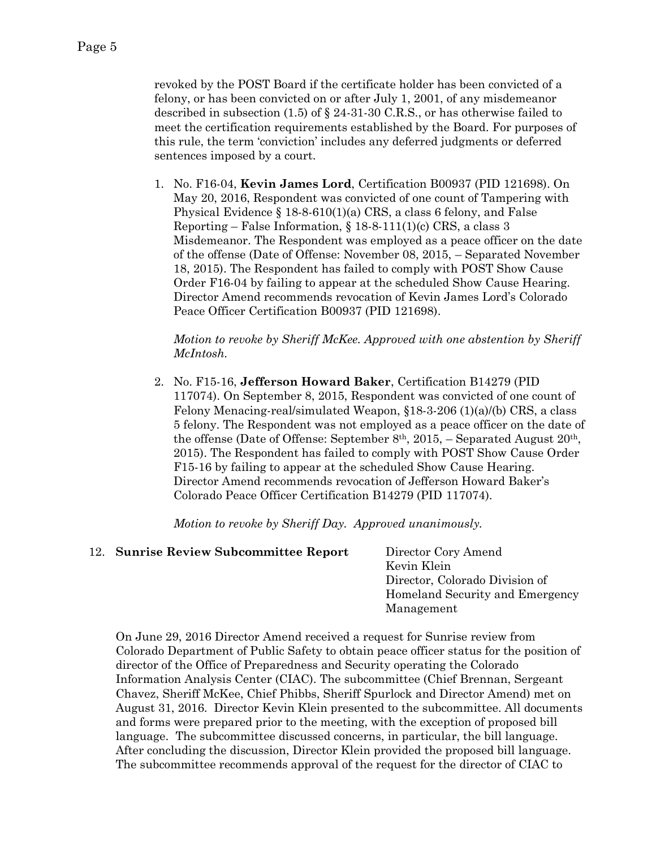revoked by the POST Board if the certificate holder has been convicted of a felony, or has been convicted on or after July 1, 2001, of any misdemeanor described in subsection (1.5) of § 24-31-30 C.R.S., or has otherwise failed to meet the certification requirements established by the Board. For purposes of this rule, the term 'conviction' includes any deferred judgments or deferred sentences imposed by a court.

1. No. F16-04, **Kevin James Lord**, Certification B00937 (PID 121698). On May 20, 2016, Respondent was convicted of one count of Tampering with Physical Evidence § 18-8-610(1)(a) CRS, a class 6 felony, and False Reporting – False Information,  $\S 18-8-111(1)(c)$  CRS, a class 3 Misdemeanor. The Respondent was employed as a peace officer on the date of the offense (Date of Offense: November 08, 2015, – Separated November 18, 2015). The Respondent has failed to comply with POST Show Cause Order F16-04 by failing to appear at the scheduled Show Cause Hearing. Director Amend recommends revocation of Kevin James Lord's Colorado Peace Officer Certification B00937 (PID 121698).

*Motion to revoke by Sheriff McKee. Approved with one abstention by Sheriff McIntosh.*

2. No. F15-16, **Jefferson Howard Baker**, Certification B14279 (PID 117074). On September 8, 2015, Respondent was convicted of one count of Felony Menacing-real/simulated Weapon, §18-3-206 (1)(a)/(b) CRS, a class 5 felony. The Respondent was not employed as a peace officer on the date of the offense (Date of Offense: September 8<sup>th</sup>, 2015, – Separated August 20<sup>th</sup>, 2015). The Respondent has failed to comply with POST Show Cause Order F15-16 by failing to appear at the scheduled Show Cause Hearing. Director Amend recommends revocation of Jefferson Howard Baker's Colorado Peace Officer Certification B14279 (PID 117074).

*Motion to revoke by Sheriff Day. Approved unanimously.* 

## 12. **Sunrise Review Subcommittee Report** Director Cory Amend

Kevin Klein Director, Colorado Division of Homeland Security and Emergency Management

On June 29, 2016 Director Amend received a request for Sunrise review from Colorado Department of Public Safety to obtain peace officer status for the position of director of the Office of Preparedness and Security operating the Colorado Information Analysis Center (CIAC). The subcommittee (Chief Brennan, Sergeant Chavez, Sheriff McKee, Chief Phibbs, Sheriff Spurlock and Director Amend) met on August 31, 2016. Director Kevin Klein presented to the subcommittee. All documents and forms were prepared prior to the meeting, with the exception of proposed bill language. The subcommittee discussed concerns, in particular, the bill language. After concluding the discussion, Director Klein provided the proposed bill language. The subcommittee recommends approval of the request for the director of CIAC to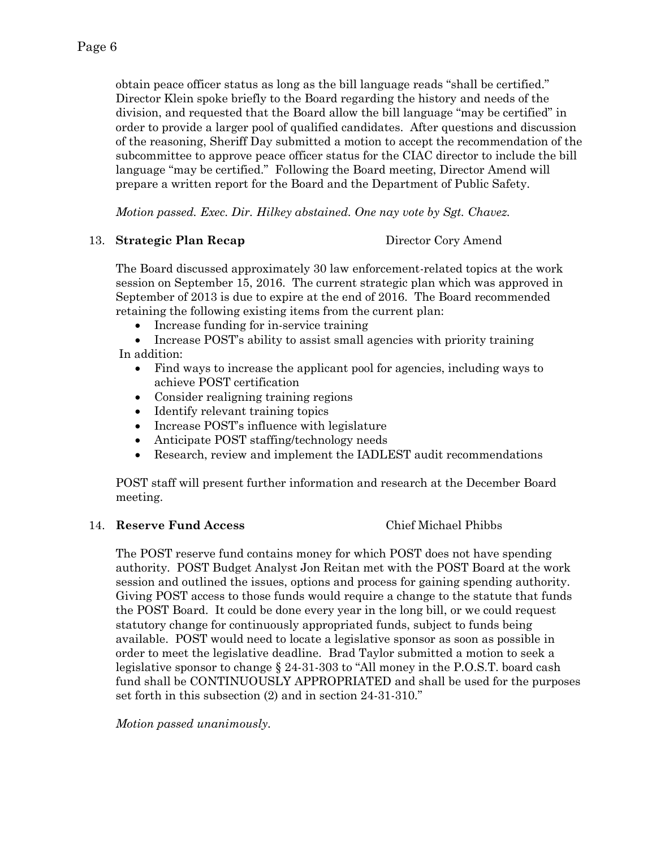obtain peace officer status as long as the bill language reads "shall be certified." Director Klein spoke briefly to the Board regarding the history and needs of the division, and requested that the Board allow the bill language "may be certified" in order to provide a larger pool of qualified candidates. After questions and discussion of the reasoning, Sheriff Day submitted a motion to accept the recommendation of the subcommittee to approve peace officer status for the CIAC director to include the bill language "may be certified." Following the Board meeting, Director Amend will prepare a written report for the Board and the Department of Public Safety.

*Motion passed. Exec. Dir. Hilkey abstained. One nay vote by Sgt. Chavez.*

## 13. **Strategic Plan Recap** Director Cory Amend

The Board discussed approximately 30 law enforcement-related topics at the work session on September 15, 2016. The current strategic plan which was approved in September of 2013 is due to expire at the end of 2016. The Board recommended retaining the following existing items from the current plan:

• Increase funding for in-service training

 Increase POST's ability to assist small agencies with priority training In addition:

- Find ways to increase the applicant pool for agencies, including ways to achieve POST certification
- Consider realigning training regions
- Identify relevant training topics
- Increase POST's influence with legislature
- Anticipate POST staffing/technology needs
- Research, review and implement the IADLEST audit recommendations

POST staff will present further information and research at the December Board meeting.

## 14. **Reserve Fund Access** Chief Michael Phibbs

The POST reserve fund contains money for which POST does not have spending authority. POST Budget Analyst Jon Reitan met with the POST Board at the work session and outlined the issues, options and process for gaining spending authority. Giving POST access to those funds would require a change to the statute that funds the POST Board. It could be done every year in the long bill, or we could request statutory change for continuously appropriated funds, subject to funds being available. POST would need to locate a legislative sponsor as soon as possible in order to meet the legislative deadline. Brad Taylor submitted a motion to seek a legislative sponsor to change § 24-31-303 to "All money in the P.O.S.T. board cash fund shall be CONTINUOUSLY APPROPRIATED and shall be used for the purposes set forth in this subsection (2) and in section 24-31-310."

*Motion passed unanimously.*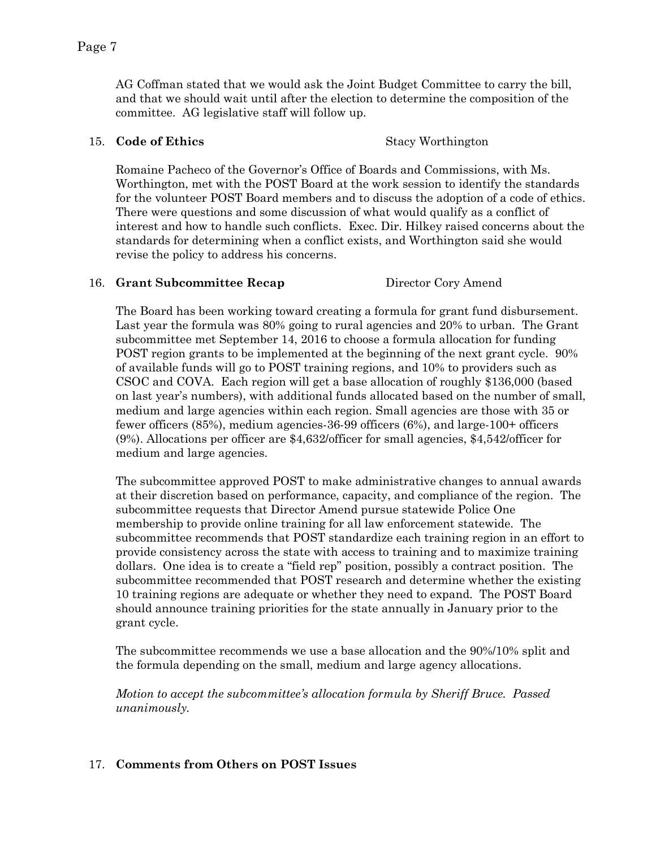AG Coffman stated that we would ask the Joint Budget Committee to carry the bill, and that we should wait until after the election to determine the composition of the committee. AG legislative staff will follow up.

## 15. **Code of Ethics** Stacy Worthington

Romaine Pacheco of the Governor's Office of Boards and Commissions, with Ms. Worthington, met with the POST Board at the work session to identify the standards for the volunteer POST Board members and to discuss the adoption of a code of ethics. There were questions and some discussion of what would qualify as a conflict of interest and how to handle such conflicts. Exec. Dir. Hilkey raised concerns about the standards for determining when a conflict exists, and Worthington said she would revise the policy to address his concerns.

### 16. **Grant Subcommittee Recap** Director Cory Amend

The Board has been working toward creating a formula for grant fund disbursement. Last year the formula was 80% going to rural agencies and 20% to urban. The Grant subcommittee met September 14, 2016 to choose a formula allocation for funding POST region grants to be implemented at the beginning of the next grant cycle. 90% of available funds will go to POST training regions, and 10% to providers such as CSOC and COVA. Each region will get a base allocation of roughly \$136,000 (based on last year's numbers), with additional funds allocated based on the number of small, medium and large agencies within each region. Small agencies are those with 35 or fewer officers (85%), medium agencies-36-99 officers (6%), and large-100+ officers (9%). Allocations per officer are \$4,632/officer for small agencies, \$4,542/officer for medium and large agencies.

The subcommittee approved POST to make administrative changes to annual awards at their discretion based on performance, capacity, and compliance of the region. The subcommittee requests that Director Amend pursue statewide Police One membership to provide online training for all law enforcement statewide. The subcommittee recommends that POST standardize each training region in an effort to provide consistency across the state with access to training and to maximize training dollars. One idea is to create a "field rep" position, possibly a contract position. The subcommittee recommended that POST research and determine whether the existing 10 training regions are adequate or whether they need to expand. The POST Board should announce training priorities for the state annually in January prior to the grant cycle.

The subcommittee recommends we use a base allocation and the 90%/10% split and the formula depending on the small, medium and large agency allocations.

*Motion to accept the subcommittee's allocation formula by Sheriff Bruce. Passed unanimously.*

## 17. **Comments from Others on POST Issues**